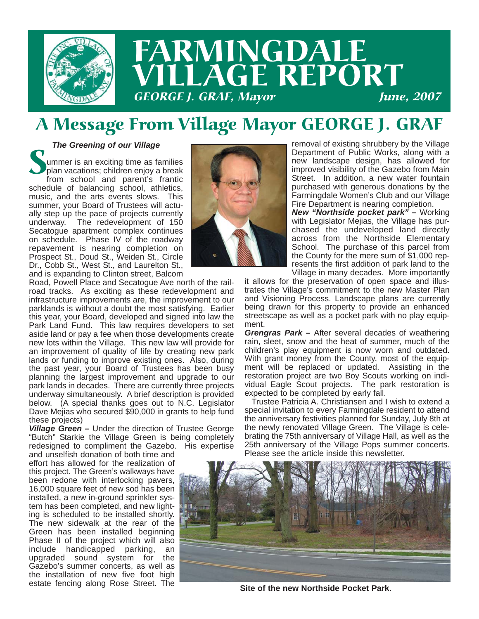

# FARMINGDALE LAGE REPORT **GEORGE J. GRAF, Mayor**

## A Message From Village Mayor GEORGE J. GRAF

#### *The Greening of our Village*

Summer is an exciting time as families<br>plan vacations; children enjoy a break<br>from school and parent's frantic plan vacations; children enjoy a break schedule of balancing school, athletics, music, and the arts events slows. This summer, your Board of Trustees will actually step up the pace of projects currently underway. The redevelopment of 150 Secatogue apartment complex continues on schedule. Phase IV of the roadway repavement is nearing completion on Prospect St., Doud St., Weiden St., Circle Dr., Cobb St., West St., and Laurelton St., and is expanding to Clinton street, Balcom



Road, Powell Place and Secatogue Ave north of the railroad tracks. As exciting as these redevelopment and infrastructure improvements are, the improvement to our parklands is without a doubt the most satisfying. Earlier this year, your Board, developed and signed into law the Park Land Fund. This law requires developers to set aside land or pay a fee when those developments create new lots within the Village. This new law will provide for an improvement of quality of life by creating new park lands or funding to improve existing ones. Also, during the past year, your Board of Trustees has been busy planning the largest improvement and upgrade to our park lands in decades. There are currently three projects underway simultaneously. A brief description is provided below. (A special thanks goes out to N.C. Legislator Dave Mejias who secured \$90,000 in grants to help fund these projects)

*Village Green –* Under the direction of Trustee George "Butch" Starkie the Village Green is being completely redesigned to compliment the Gazebo. His expertise

and unselfish donation of both time and effort has allowed for the realization of this project. The Green's walkways have been redone with interlocking pavers, 16,000 square feet of new sod has been installed, a new in-ground sprinkler system has been completed, and new lighting is scheduled to be installed shortly. The new sidewalk at the rear of the Green has been installed beginning Phase II of the project which will also include handicapped parking, an upgraded sound system for the Gazebo's summer concerts, as well as the installation of new five foot high estate fencing along Rose Street. The

removal of existing shrubbery by the Village Department of Public Works, along with a new landscape design, has allowed for improved visibility of the Gazebo from Main Street. In addition, a new water fountain purchased with generous donations by the Farmingdale Women's Club and our Village Fire Department is nearing completion.

*New "Northside pocket park" –* Working with Legislator Mejias, the Village has purchased the undeveloped land directly across from the Northside Elementary School. The purchase of this parcel from the County for the mere sum of \$1,000 represents the first addition of park land to the Village in many decades. More importantly

it allows for the preservation of open space and illustrates the Village's commitment to the new Master Plan and Visioning Process. Landscape plans are currently being drawn for this property to provide an enhanced streetscape as well as a pocket park with no play equipment.

*Grengras Park –* After several decades of weathering rain, sleet, snow and the heat of summer, much of the children's play equipment is now worn and outdated. With grant money from the County, most of the equipment will be replaced or updated. Assisting in the restoration project are two Boy Scouts working on individual Eagle Scout projects. The park restoration is expected to be completed by early fall.

Trustee Patricia A. Christiansen and I wish to extend a special invitation to every Farmingdale resident to attend the anniversary festivities planned for Sunday, July 8th at the newly renovated Village Green. The Village is celebrating the 75th anniversary of Village Hall, as well as the 25th anniversary of the Village Pops summer concerts. Please see the article inside this newsletter.



**Site of the new Northside Pocket Park.**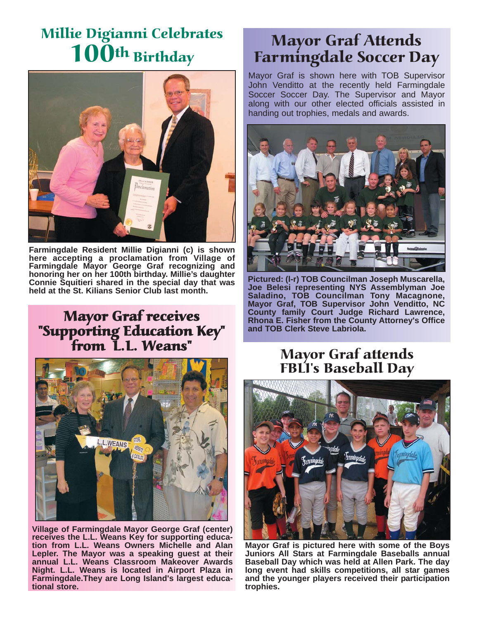## Millie Digianni Celebrates 100<sup>th</sup> Birthday



**Farmingdale Resident Millie Digianni (c) is shown here accepting a proclamation from Village of Farmingdale Mayor George Graf recognizing and honoring her on her 100th birthday. Millie's daughter Connie Squitieri shared in the special day that was held at the St. Kilians Senior Club last month.**

#### Mayor Graf receives "Supporting Education Key" from L.L. Weans"



**Village of Farmingdale Mayor George Graf (center) receives the L.L. Weans Key for supporting education from L.L. Weans Owners Michelle and Alan Lepler. The Mayor was a speaking guest at their annual L.L. Weans Classroom Makeover Awards Night. L.L. Weans is located in Airport Plaza in Farmingdale.They are Long Island's largest educational store.**

## Mayor Graf Attends Farmingdale Soccer Day

Mayor Graf is shown here with TOB Supervisor John Venditto at the recently held Farmingdale Soccer Soccer Day. The Supervisor and Mayor along with our other elected officials assisted in handing out trophies, medals and awards.



**Pictured: (l-r) TOB Councilman Joseph Muscarella, Joe Belesi representing NYS Assemblyman Joe Saladino, TOB Councilman Tony Macagnone, Mayor Graf, TOB Supervisor John Venditto, NC County family Court Judge Richard Lawrence, Rhona E. Fisher from the County Attorney's Office and TOB Clerk Steve Labriola.**

#### Mayor Graf attends FBLI's Baseball Day



**Mayor Graf is pictured here with some of the Boys Juniors All Stars at Farmingdale Baseballs annual Baseball Day which was held at Allen Park. The day long event had skills competitions, all star games and the younger players received their participation trophies.**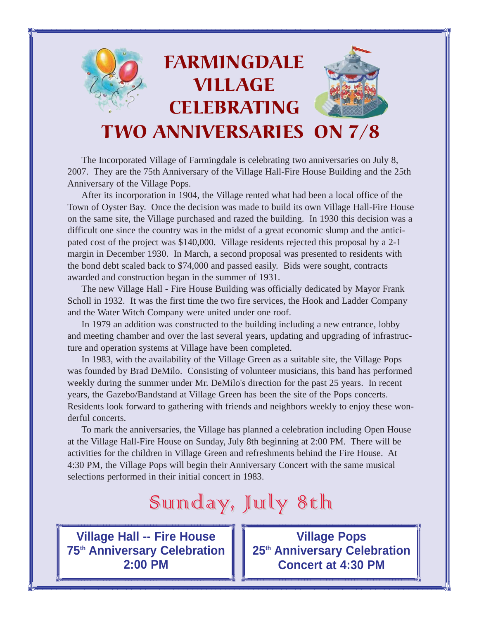

The Incorporated Village of Farmingdale is celebrating two anniversaries on July 8, 2007. They are the 75th Anniversary of the Village Hall-Fire House Building and the 25th Anniversary of the Village Pops.

After its incorporation in 1904, the Village rented what had been a local office of the Town of Oyster Bay. Once the decision was made to build its own Village Hall-Fire House on the same site, the Village purchased and razed the building. In 1930 this decision was a difficult one since the country was in the midst of a great economic slump and the anticipated cost of the project was \$140,000. Village residents rejected this proposal by a 2-1 margin in December 1930. In March, a second proposal was presented to residents with the bond debt scaled back to \$74,000 and passed easily. Bids were sought, contracts awarded and construction began in the summer of 1931.

The new Village Hall - Fire House Building was officially dedicated by Mayor Frank Scholl in 1932. It was the first time the two fire services, the Hook and Ladder Company and the Water Witch Company were united under one roof.

In 1979 an addition was constructed to the building including a new entrance, lobby and meeting chamber and over the last several years, updating and upgrading of infrastructure and operation systems at Village have been completed.

In 1983, with the availability of the Village Green as a suitable site, the Village Pops was founded by Brad DeMilo. Consisting of volunteer musicians, this band has performed weekly during the summer under Mr. DeMilo's direction for the past 25 years. In recent years, the Gazebo/Bandstand at Village Green has been the site of the Pops concerts. Residents look forward to gathering with friends and neighbors weekly to enjoy these wonderful concerts.

To mark the anniversaries, the Village has planned a celebration including Open House at the Village Hall-Fire House on Sunday, July 8th beginning at 2:00 PM. There will be activities for the children in Village Green and refreshments behind the Fire House. At 4:30 PM, the Village Pops will begin their Anniversary Concert with the same musical selections performed in their initial concert in 1983.

# Sunday, July 8th

**Village Hall -- Fire House 75th Anniversary Celebration 2:00 PM**

**Village Pops 25th Anniversary Celebration Concert at 4:30 PM**